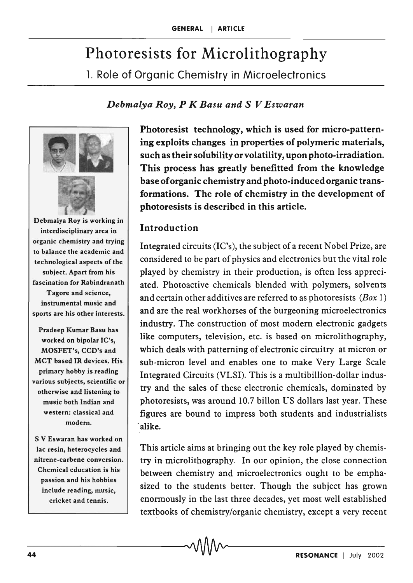# Photoresists for Microlithography 1. Role of Organic Chemistry in Microelectronics

### *Debmalya Roy, P K Basu and* S *V Eswaran*



Debmalya Roy is working in interdisciplinary area in organic chemistry and trying to balance the academic and technological aspects of the subject. Apart from his fascination for Rabindranath Tagore and science, instrumental music and sports are his other interests.

Pradeep Kumar Basu has worked on bipolar IC's, MOSFET's, CCD's and MCT based IR devices. His primary hobby is reading various subjects, scientific or otherwise and listening to music both Indian and western: classical and modem.

S V Eswaran has worked on lac resin, heterocycles and nitrene·carbene conversion. Chemical education is his passion and his hobbies include reading, music, cricket and tennis.

Photoresist technology, which is used for micro-patterning exploits changes in properties of polymeric materials, such as their solubility or volatility, upon photo-irradiation. This process has greatly benefitted from the knowledge base of organic chemistry and photo-induced organic transformations. The role of chemistry in the development of photoresists is described in this article.

#### Introduction

Integrated circuits (IC's), the subject of a recent Nobel Prize, are considered to be part of physics and electronics but the vital role played by chemistry in their production, is often less appreciated. Photoactive chemicals blended with polymers, solvents and certain other additives are referred to as photoresists  $(Box 1)$ and are the real workhorses of the burgeoning microelectronics industry. The construction of most modern electronic gadgets like computers, television, etc. is based on microlithography, which deals with patterning of electronic circuitry at micron or sub-micron level and enables one to make Very Large Scale Integrated Circuits (VLSI). This is a multibillion-dollar industry and the sales of these electronic chemicals, dominated by photoresists, was around 10.7 billon US dollars last year. These figures are bound to impress both students and industrialists . alike.

This article aims at bringing out the key role played by chemistry in microlithography. In our opinion, the close connection between chemistry and microelectronics ought to be emphasized to the students better. Though the subject has grown enormously in the last three decades, yet most well established textbooks of chemistry/organic chemistry, except a very recent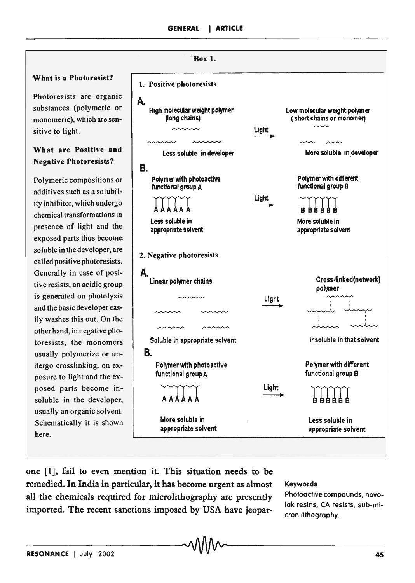

one [1], fail to even mention it. This situation needs to be remedied. In India in particular, it has become urgent as almost all the chemicals required for microlithography are presently imported. The recent sanctions imposed by USA have jeopar-

#### Keywords

Photoactive compounds, novolak resins, CA resists, sub-micron lithography.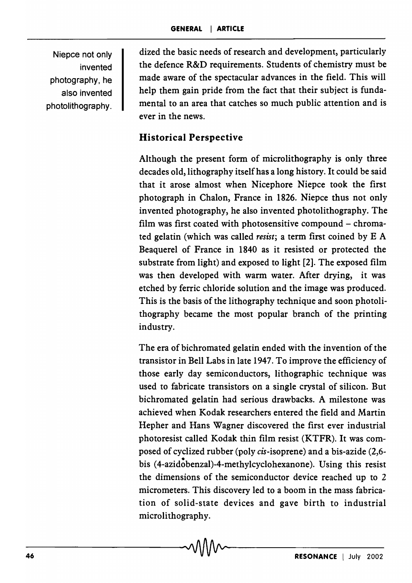Niepce not only invented photography, he also invented photolithography. dized the basic needs of research and development, particularly the defence R&D requirements. Students of chemistry must be made aware of the spectacular advances in the field. This will help them gain pride from the fact that their subject is fundamental to an area that catches so much public attention and is ever in the news.

# Historical Perspective

Although the present form of microlithography is only three decades old, lithography itself has a long history. It could be said that it arose almost when Nicephore Niepce took the first photograph in Chalon, France in 1826. Niepce thus not only invented photography, he also invented photolithography. The film was first coated with photosensitive compound – chromated gelatin (which was called *resist;* a term first coined by E A Beaquerel of France in 1840 as it resisted or protected the substrate from light) and exposed to light [2]. The exposed film was then developed with warm water. After drying, it was etched by ferric chloride solution and the image was produced. This is the basis of the lithography technique and soon photolithography became the most popular branch of the printing industry.

The era of bichromated gelatin ended with the invention of the transistor in Bell Labs in late 1947. To improve the efficiency of those early day semiconductors, lithographic technique was used to fabricate transistors on a single crystal of silicon. But bichromated gelatin had serious drawbacks. A milestone was achieved when Kodak researchers entered the field and Martin Hepher and Hans Wagner discovered the first ever industrial photoresist called Kodak thin film resist (KTFR). It was composed of cyclized rubber (poly cis-isoprene) and a bis-azide (2,6 bis (4-azidobenzal)-4-methylcyclohexanone). Using this resist the dimensions of the semiconductor device reached up to 2 micrometers. This discovery led to a boom in the mass fabrication of solid-state devices and gave birth to industrial microlithography.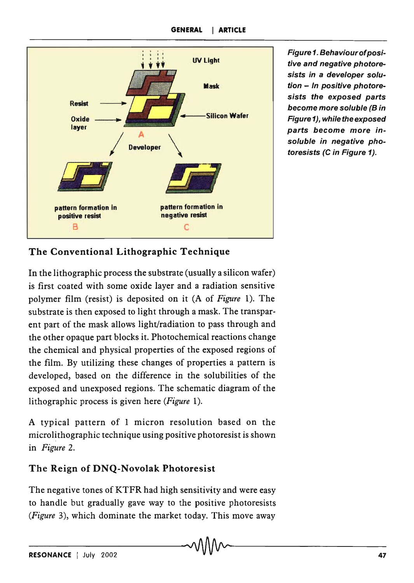

Figure 1. Behaviourofpositive and negative photoresists in a developer solution - In positive photoresists the exposed parts become more soluble (B in Figure 1), while the exposed parts become more insoluble in negative photoresists (C in Figure 1).

## The Conventional Lithographic Technique

In the lithographic process the substrate (usually a silicon wafer) is first coated with some oxide layer and a radiation sensitive polymer film (resist) is deposited on it (A of *Figure* 1). The substrate is then exposed to light through a mask. The transparent part of the mask allows light/radiation to pass through and the other opaque part blocks it. Photochemical reactions change the chemical and physical properties of the exposed regions of the film. By utilizing these changes of properties a pattern is developed, based on the difference in the solubilities of the exposed and unexposed regions. The schematic diagram of the lithographic process is given here *(Figure 1).* 

A typical pattern of 1 micron resolution based on the micro lithographic technique using positive photoresist is shown in *Figure 2.* 

#### The Reign of DNQ-Novolak Photoresist

The negative tones of KTFR had high sensitivity and were easy to handle but gradually gave way to the positive photoresists *(Figure* 3), which dominate the market today. This move away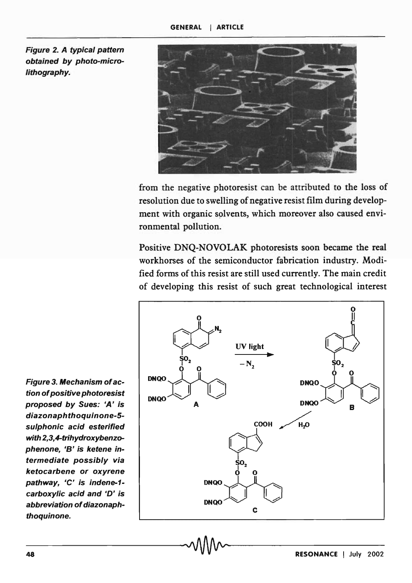Figure 2. A typical pattern obtained by photo-microlithography.



from the negative photoresist can be attributed to the loss of resolution due to swelling of negative resist film during development with organic solvents, which moreover also caused environmental pollution.

Positive DNQ-NOVOLAK photoresists soon became the real workhorses of the semiconductor fabrication industry. Modified forms of this resist are still used currently. The main credit of developing this resist of such great technological interest



Figure 3. Mechanism of action of positive photoresist proposed by Sues: 'A' is diazonaphthoquinone-5 sulphonic acid esterified with 2,3,4-trihydroxybenzophenone, '8' is ketene intermediate possibly via ketocarbene or oxyrene pathway, 'C' is indene-1carboxylic acid and 'D' is abbreviation of diazonaphthoquinone.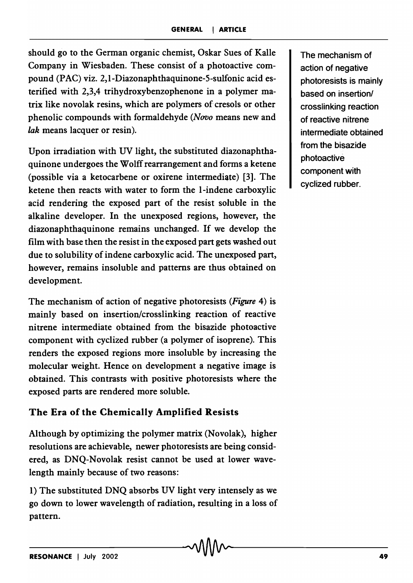should go to the German organic chemist, Oskar Sues of Kalle Company in Wiesbaden. These consist of a photoactive compound (PAC) viz. 2,I-Diazonaphthaquinone-S-sulfonic acid esterified with 2,3,4 trihydroxybenzophenone in a polymer matrix like novolak resins, which are polymers of cresols or other phenolic compounds with formaldehyde *(Novo* means new and *lak* means lacquer or resin).

Upon irradiation with UV light, the substituted diazonaphthaquinone undergoes the Wolff rearrangement and forms a ketene (possible via a ketocarbene or oxirene intermediate) [3]. The ketene then reacts with water to form the I-indene carboxylic acid rendering the exposed part of the resist soluble in the alkaline developer. In the unexposed regions, however, the diazonaphthaquinone remains unchanged. If we develop the film with base then the resist in the exposed part gets washed out due to solubility of indene carboxylic acid. The unexposed part, however, remains insoluble and patterns are thus obtained on development.

The mechanism of action of negative photoresists *(Figure* 4) is mainly based on insertion/crosslinking reaction of reactive nitrene intermediate obtained from the bisazide photoactive component with cyclized rubber (a polymer of isoprene). This renders the exposed regions more insoluble by increasing the molecular weight. Hence on development a negative image is obtained. This contrasts with positive photoresists where the exposed parts are rendered more soluble.

# The Era of the Chemically Amplified Resists

Although by optimizing the polymer matrix (Novolak), higher resolutions are achievable, newer photoresists are being considered, as DNQ-Novolak resist cannot be used at lower wavelength mainly because of two reasons:

I) The substituted DNQ absorbs UV light very intensely as we go down to lower wavelength of radiation, resulting in a loss of pattern.

The mechanism of action of negative photoresists is mainly based on insertion/ crosslinking reaction of reactive nitrene intermediate obtained from the bisazide photoactive component with cyclized rubber.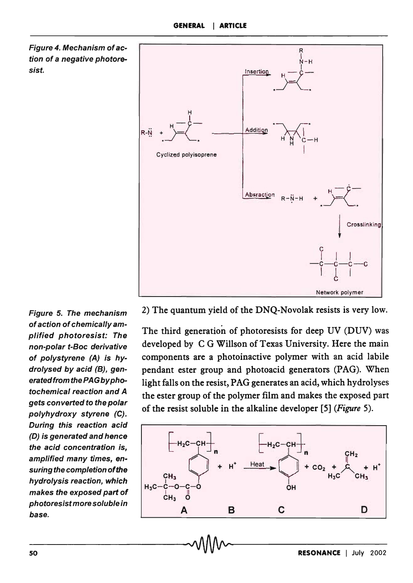



Figure 5. The mechanism of action of chemically amplified photoresist: The non-polar t-Boc derivative of polystyrene (A) is hydrolysed by acid (B), generated from the PAG by photochemical reaction and A gets converted to the polar polyhydroxy styrene (C). During this reaction acid (D) is generated and hence the acid concentration is, amplified many times, ensuring the completion of the hydrolysis reaction, which makes the exposed part of photoresist more soluble in base.

2) The quantum yield of the DNQ-Novolak resists is very low.

The third generation of photoresists for deep UV (DUV) was developed by C G Willson of Texas University. Here the main components are a photoinactive polymer with an acid labile pendant ester group and photoacid generators (PAG). When light falls on the resist, PAG generates an acid, which hydrolyses the ester group of the polymer film and makes the exposed part of the resist soluble in the alkaline developer [5] *(Figure 5).* 

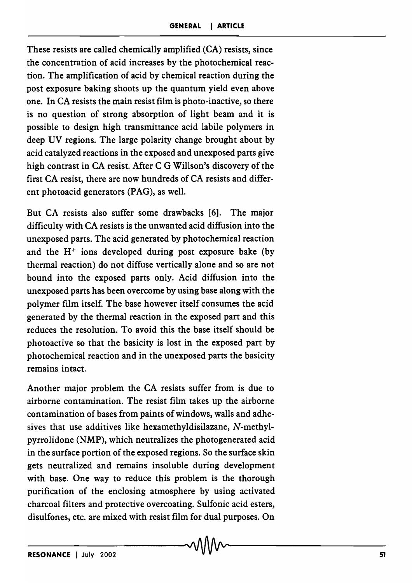These resists are called chemically amplified (CA) resists, since the concentration of acid increases by the photochemical reaction. The amplification of acid by chemical reaction during the post exposure baking shoots up the quantum yield even above one. In CA resists the main resist film is photo-inactive, so there is no question of strong absorption of light beam and it is possible to design high transmittance acid labile polymers in deep UV regions. The large polarity change brought about by acid catalyzed reactions in the exposed and unexposed parts give high contrast in CA resist. After C G Willson's discovery of the first CA resist, there are now hundreds of CA resists and different photoacid generators (PAG), as well.

But CA resists also suffer some drawbacks [6]. The major difficulty with CA resists is the unwanted acid diffusion into the unexposed parts. The acid generated by photochemical reaction and the  $H^+$  ions developed during post exposure bake (by thermal reaction) do not diffuse vertically alone and so are not bound into the exposed parts only. Acid diffusion into the unexposed parts has been overcome by using base along with the polymer film itself. The base however itself consumes the acid generated by the thermal reaction in the exposed part and this reduces the resolution. To avoid this the base itself should be photoactive so that the basicity is lost in the exposed part by photochemical reaction and in the unexposed parts the basicity remains intact.

Another major problem the CA resists suffer from is due to airborne contamination. The resist film takes up the airborne contamination of bases from paints of windows, walls and adhesives that use additives like hexamethyldisilazane, N-methylpyrrolidone (NMP), which neutralizes the photogenerated acid in the surface portion of the exposed regions. So the surface skin gets neutralized and remains insoluble during development with base. One way to reduce this problem is the thorough purification of the enclosing atmosphere by using activated charcoal filters and protective overcoating. Sulfonic acid esters, disulfones, etc. are mixed with resist film for dual purposes. On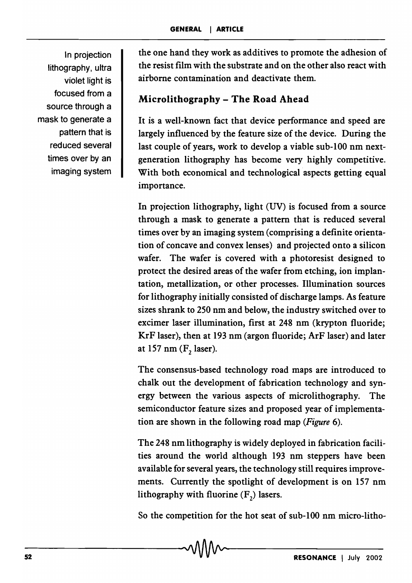In projection lithography, ultra violet light is focused from a source through a mask to generate a pattern that is reduced several times over by an imaging system

the one hand they work as additives to promote the adhesion of the resist film with the substrate and on the other also react with airborne contamination and deactivate them.

# Microlithography - The Road Ahead

It is a well-known fact that device performance and speed are largely influenced by the feature size of the device. During the last couple of years, work to develop a viable sub-l00 nm nextgeneration lithography has become very highly competitive. With both economical and technological aspects getting equal importance.

In projection lithography, light (UV) is focused from a source through a mask to generate a pattern that is reduced several times over by an imaging system (comprising a definite orientation of concave and convex lenses) and projected onto a silicon wafer. The wafer is covered with a photoresist designed to protect the desired areas of the wafer from etching, ion implantation, metallization, or other processes. Illumination sources for lithography initially consisted of discharge lamps. As feature sizes shrank to 250 nm and below, the industry switched over to excimer laser illumination, first at 248 nm (krypton fluoride; KrF laser), then at 193 nm (argon fluoride; ArF laser) and later at 157 nm  $(F, laser)$ .

The consensus-based technology road maps are introduced to chalk out the development of fabrication technology and synergy between the various aspects of microlithography. The semiconductor feature sizes and proposed year of implementation are shown in the following road map *(Figure 6).* 

The 248 nm lithography is widely deployed in fabrication facilities around the world although 193 nm steppers have been available for several years, the technology still requires improvements. Currently the spotlight of development is on 157 nm lithography with fluorine (F<sub>2</sub>) lasers.

So the competition for the hot seat of sub-l00 nm micro-litho-